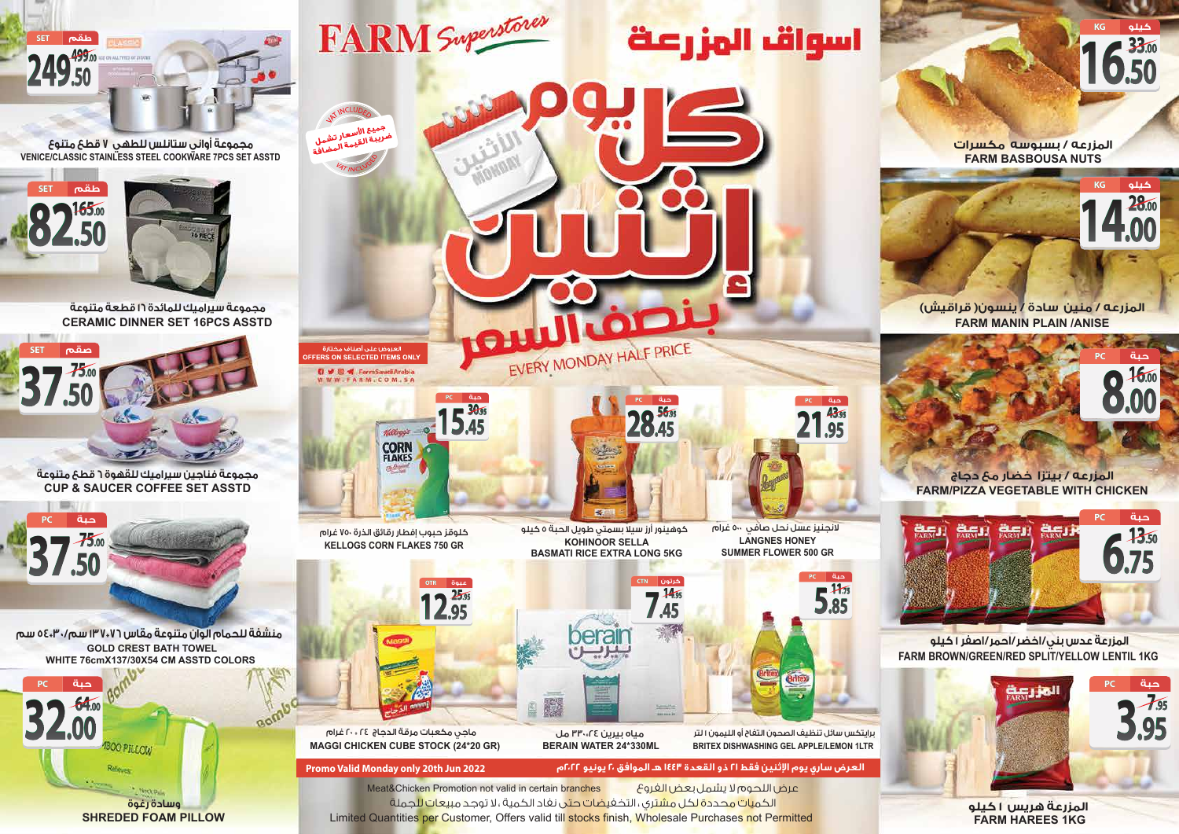Limited Quantities per Customer, Offers valid till stocks finish, Wholesale Purchases not Permitted الكم<mark>يات محددة لكل مشت</mark>ري ، التخفي<mark>ضات حت</mark>ى نفاد الكمية ، لا توجد مبيعات للجملة Meat&Chicken Promotion not valid in certain branches الفروع بعض يشمل لا اللحوم عرض

**العرض ساري يوم اثنين فقط ٢١ ذو القعدة ١٤٤٣ هـ الموافق ٢٠ يونيو ٢٠٢٢م 2022 Jun th20 only Monday Valid Promo**

**LANGNES HONEY SUMMER FLOWER 500 GR** لانجنيز عسل نحل صافي ٥٠٠ غرام



**28.45 56.95**

**حبة PC**

**21.95 43.95**

**حبة PC**

**5.85 11.75**

**حبة PC**



**12.95 25.95**

**عبوة OTR**

**KOHINOOR SELLA BASMATI RICE EXTRA LONG 5KG** ّ كوهينور أرز سيلا بسمتي طويل الحبة 5 كيلو

EVERY MONDAY HALF PRICE



**FARM HAREES 1KG المزرعة هريس 1 كيلو** 

كلوقز حبوب إفطار رقائق الذرة 750 غرام **KELLOGS CORN FLAKES 750 GR**

> **BRITEX DISHWASHING GEL APPLE/LEMON 1LTR** برايتكس سائل تنظيف الصحون التفاح أو الليمون 1 لتر

**BERAIN WATER 24\*330ML** مياه بيرين 24@330 مل ماجي مكعبات مرقة الدجاج 24 @ 20 غرام

**MAGGI CHICKEN CUBE STOCK (24\*20 GR)**

# **المزرعه / بيتزا خضار مع دجاج FARM/PIZZA VEGETABLE WITH CHICKEN**

## **المزرعه / منين سادة / ينسون( قراقيش) FARM MANIN PLAIN /ANISE**

**8.00**

**16.00 حبة PC**

**14.00**

**28.00**

**كيلو KG**

**16.50**

**33.00**

**كيلو KG**

**المزرعه / بسبوسه مكسرات FARM BASBOUSA NUTS**



## **FARM BROWN/GREEN/RED SPLIT/YELLOW LENTIL 1KG المزرعة عدس بني/اخضر/احمر/اصفر 1 كيلو**

 **مجموعة فناجين سيراميك للقهوة 6 قطع متنوعة CUP & SAUCER COFFEE SET ASSTD** 





 **VENICE/CLASSIC STAINLESS STEEL COOKWARE 7PCS SET ASSTD مجموعة أواني ستانلس للطهي 7 قطع متنوع** 



**CERAMIC DINNER SET 16PCS ASSTD مجموعة سيراميك للمائدة 16 قطعة متنوعة**



 **منشفة للحمام الوان متنوعة مقاس 76@137 سم30/@54 سم GOLD CREST BATH TOWEL WHITE 76cmX137/30X54 CM ASSTD COLORS** 

Bomb





**ACCES** 

اسواق الهزرعة

جميع الأسعار<br>لايبة الأسعار تشمل جميع الأسعار تشمل<br>ضريبة القيمة المضافة<br>مصرح

**Q V W Y** FarmSaudiArabia<br>W W W F A R M . C O M . S A